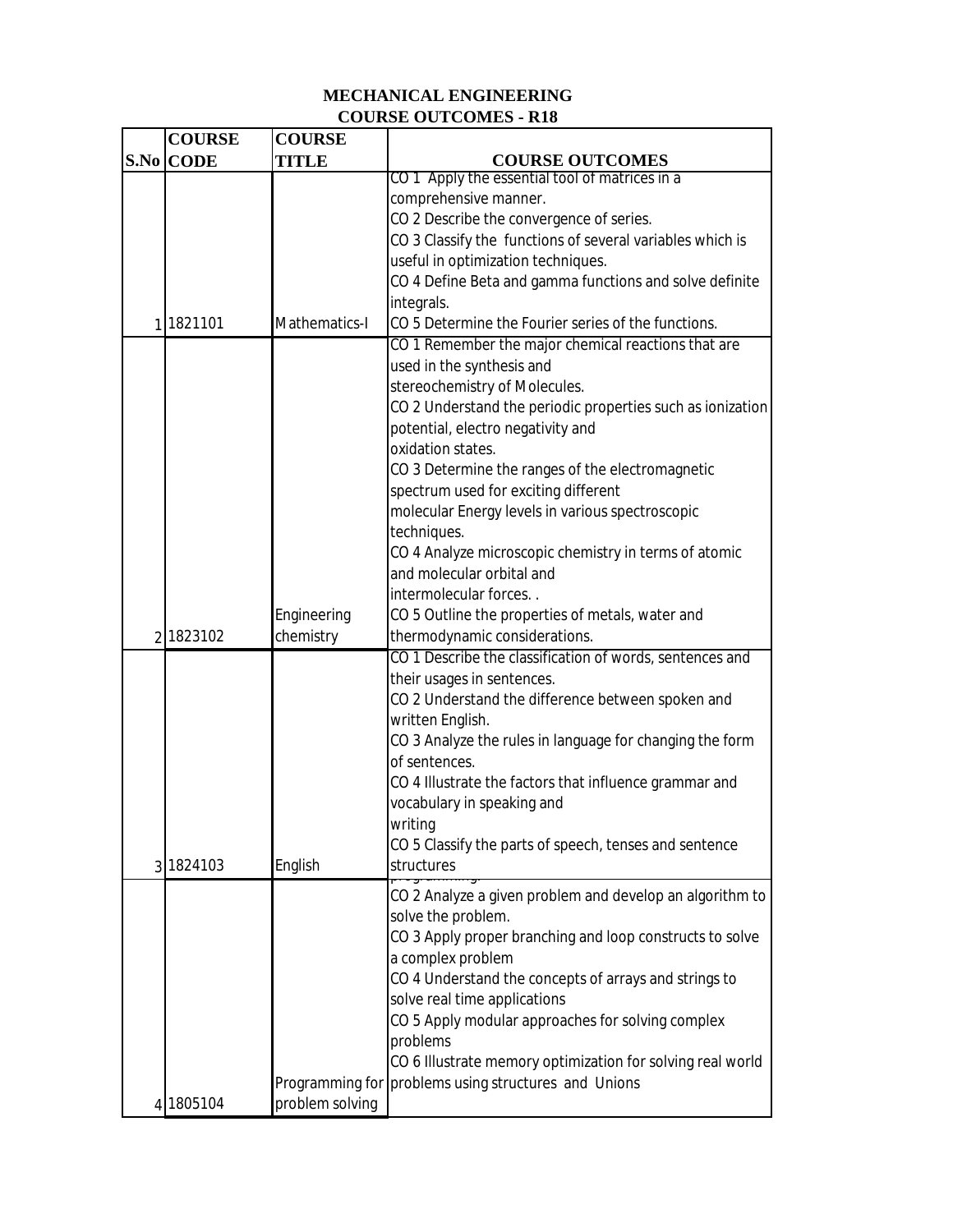## **MECHANICAL ENGINEERING COURSE OUTCOMES - R18**

| <b>COURSE</b>    | <b>COURSE</b>   |                                                            |
|------------------|-----------------|------------------------------------------------------------|
| <b>S.No CODE</b> | TITLE           | <b>COURSE OUTCOMES</b>                                     |
|                  |                 | CO 1 Apply the essential tool of matrices in a             |
|                  |                 | comprehensive manner.                                      |
|                  |                 | CO 2 Describe the convergence of series.                   |
|                  |                 | CO 3 Classify the functions of several variables which is  |
|                  |                 | useful in optimization techniques.                         |
|                  |                 | CO 4 Define Beta and gamma functions and solve definite    |
|                  |                 | integrals.                                                 |
| 1 1821101        | Mathematics-I   | CO 5 Determine the Fourier series of the functions.        |
|                  |                 | CO 1 Remember the major chemical reactions that are        |
|                  |                 | used in the synthesis and                                  |
|                  |                 | stereochemistry of Molecules.                              |
|                  |                 | CO 2 Understand the periodic properties such as ionization |
|                  |                 | potential, electro negativity and                          |
|                  |                 | oxidation states.                                          |
|                  |                 | CO 3 Determine the ranges of the electromagnetic           |
|                  |                 | spectrum used for exciting different                       |
|                  |                 | molecular Energy levels in various spectroscopic           |
|                  |                 | techniques.                                                |
|                  |                 | CO 4 Analyze microscopic chemistry in terms of atomic      |
|                  |                 | and molecular orbital and                                  |
|                  |                 | intermolecular forces                                      |
|                  | Engineering     | CO 5 Outline the properties of metals, water and           |
| 2 1823102        | chemistry       | thermodynamic considerations.                              |
|                  |                 | CO 1 Describe the classification of words, sentences and   |
|                  |                 | their usages in sentences.                                 |
|                  |                 | CO 2 Understand the difference between spoken and          |
|                  |                 | written English.                                           |
|                  |                 | CO 3 Analyze the rules in language for changing the form   |
|                  |                 | of sentences.                                              |
|                  |                 | CO 4 Illustrate the factors that influence grammar and     |
|                  |                 | vocabulary in speaking and                                 |
|                  |                 | writina                                                    |
|                  |                 | CO 5 Classify the parts of speech, tenses and sentence     |
| 3 1824103        | English         | structures                                                 |
|                  |                 |                                                            |
|                  |                 | CO 2 Analyze a given problem and develop an algorithm to   |
|                  |                 | solve the problem.                                         |
|                  |                 | CO 3 Apply proper branching and loop constructs to solve   |
|                  |                 | a complex problem                                          |
|                  |                 | CO 4 Understand the concepts of arrays and strings to      |
|                  |                 | solve real time applications                               |
|                  |                 | CO 5 Apply modular approaches for solving complex          |
|                  |                 | problems                                                   |
|                  |                 | CO 6 Illustrate memory optimization for solving real world |
|                  | Programming for | problems using structures and Unions                       |
| 4 1805104        | problem solving |                                                            |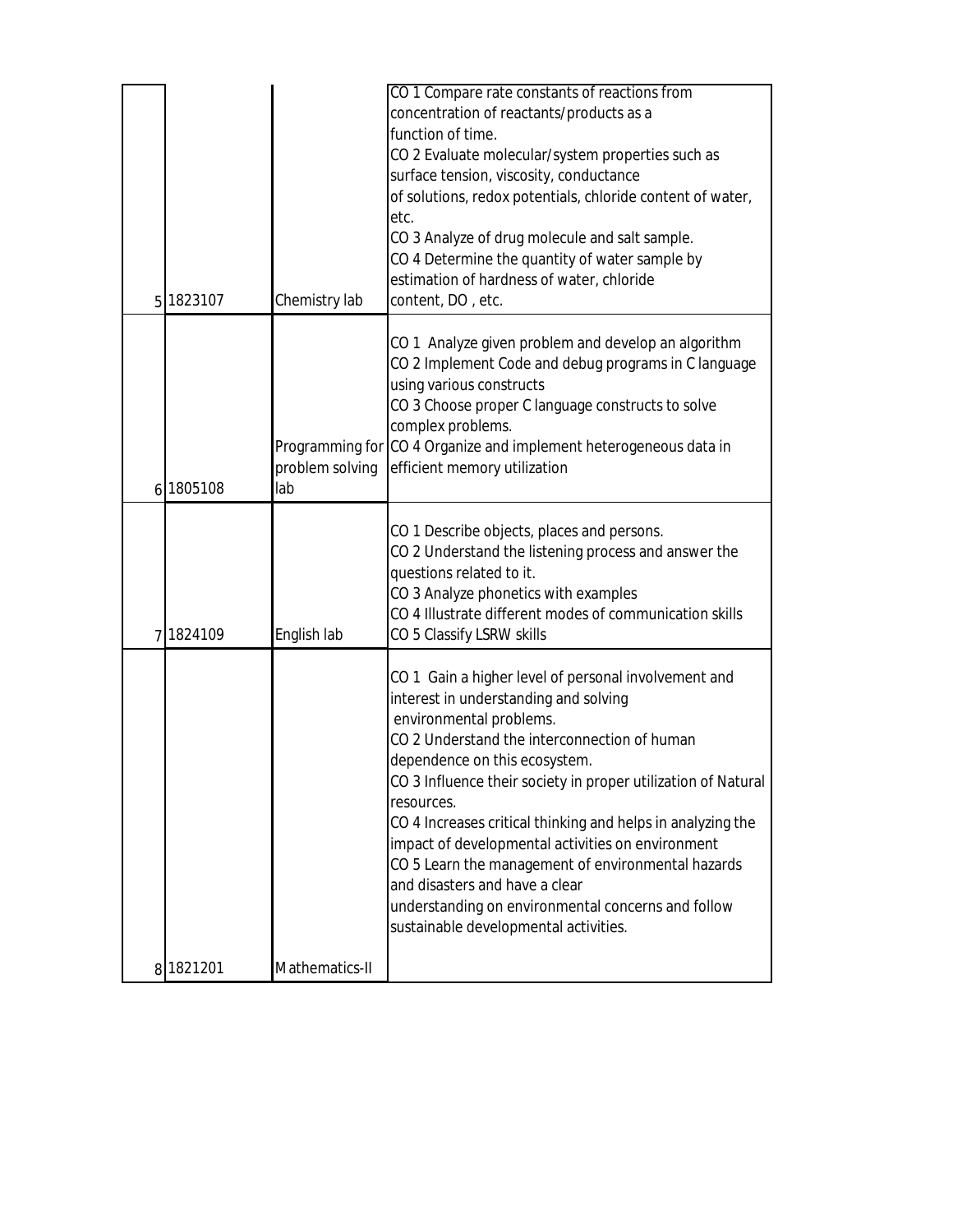|                |         |                        | CO 1 Compare rate constants of reactions from<br>concentration of reactants/products as a<br>function of time.<br>CO 2 Evaluate molecular/system properties such as<br>surface tension, viscosity, conductance<br>of solutions, redox potentials, chloride content of water,                                                                                                                                                                                                                                                                                                                        |
|----------------|---------|------------------------|-----------------------------------------------------------------------------------------------------------------------------------------------------------------------------------------------------------------------------------------------------------------------------------------------------------------------------------------------------------------------------------------------------------------------------------------------------------------------------------------------------------------------------------------------------------------------------------------------------|
| 5 <sup>1</sup> | 1823107 | Chemistry lab          | etc.<br>CO 3 Analyze of drug molecule and salt sample.<br>CO 4 Determine the quantity of water sample by<br>estimation of hardness of water, chloride<br>content, DO, etc.                                                                                                                                                                                                                                                                                                                                                                                                                          |
| $6 \mid$       | 1805108 | problem solving<br>lab | CO 1 Analyze given problem and develop an algorithm<br>CO 2 Implement Code and debug programs in C language<br>using various constructs<br>CO 3 Choose proper C language constructs to solve<br>complex problems.<br>Programming for CO 4 Organize and implement heterogeneous data in<br>efficient memory utilization                                                                                                                                                                                                                                                                              |
| 7              | 1824109 | English lab            | CO 1 Describe objects, places and persons.<br>CO 2 Understand the listening process and answer the<br>questions related to it.<br>CO 3 Analyze phonetics with examples<br>CO 4 Illustrate different modes of communication skills<br>CO 5 Classify LSRW skills                                                                                                                                                                                                                                                                                                                                      |
| 8              | 1821201 | Mathematics-II         | CO 1 Gain a higher level of personal involvement and<br>interest in understanding and solving<br>environmental problems.<br>CO 2 Understand the interconnection of human<br>dependence on this ecosystem.<br>CO 3 Influence their society in proper utilization of Natural<br>resources.<br>CO 4 Increases critical thinking and helps in analyzing the<br>impact of developmental activities on environment<br>CO 5 Learn the management of environmental hazards<br>and disasters and have a clear<br>understanding on environmental concerns and follow<br>sustainable developmental activities. |
|                |         |                        |                                                                                                                                                                                                                                                                                                                                                                                                                                                                                                                                                                                                     |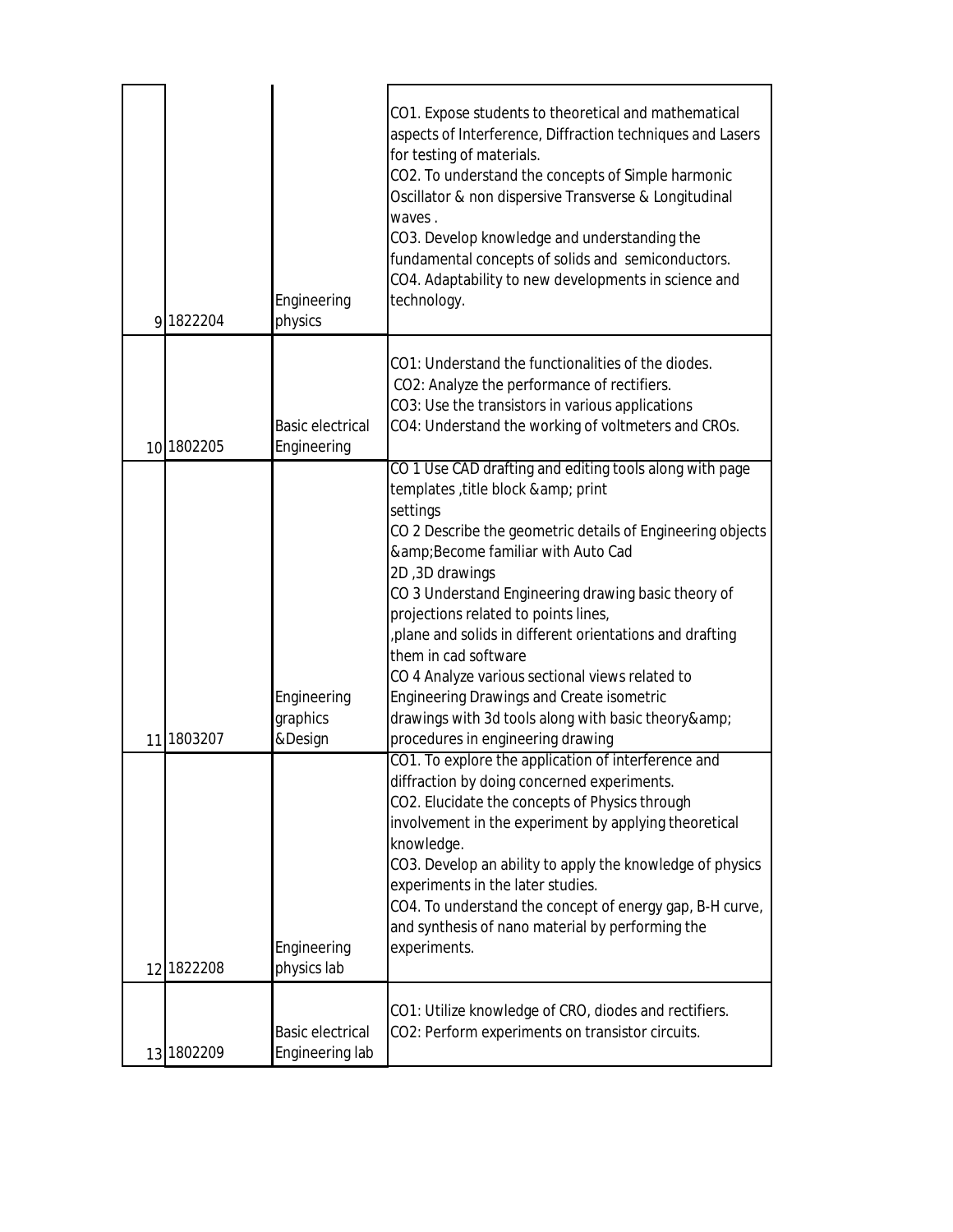| 9 1822204  | Engineering<br>physics                     | CO1. Expose students to theoretical and mathematical<br>aspects of Interference, Diffraction techniques and Lasers<br>for testing of materials.<br>CO2. To understand the concepts of Simple harmonic<br>Oscillator & non dispersive Transverse & Longitudinal<br>waves.<br>CO3. Develop knowledge and understanding the<br>fundamental concepts of solids and semiconductors.<br>CO4. Adaptability to new developments in science and<br>technology.                                                                                                                                                      |
|------------|--------------------------------------------|------------------------------------------------------------------------------------------------------------------------------------------------------------------------------------------------------------------------------------------------------------------------------------------------------------------------------------------------------------------------------------------------------------------------------------------------------------------------------------------------------------------------------------------------------------------------------------------------------------|
| 10 1802205 | <b>Basic electrical</b><br>Engineering     | CO1: Understand the functionalities of the diodes.<br>CO2: Analyze the performance of rectifiers.<br>CO3: Use the transistors in various applications<br>CO4: Understand the working of voltmeters and CROs.                                                                                                                                                                                                                                                                                                                                                                                               |
| 11 1803207 | Engineering<br>graphics<br>&Design         | CO 1 Use CAD drafting and editing tools along with page<br>templates, title block & print<br>settings<br>CO 2 Describe the geometric details of Engineering objects<br>& Become familiar with Auto Cad<br>2D, 3D drawings<br>CO 3 Understand Engineering drawing basic theory of<br>projections related to points lines,<br>plane and solids in different orientations and drafting<br>them in cad software<br>CO 4 Analyze various sectional views related to<br><b>Engineering Drawings and Create isometric</b><br>drawings with 3d tools along with basic theory&<br>procedures in engineering drawing |
| 12 1822208 | Engineering<br>physics lab                 | CO1. To explore the application of interference and<br>diffraction by doing concerned experiments.<br>CO2. Elucidate the concepts of Physics through<br>involvement in the experiment by applying theoretical<br>knowledge.<br>CO3. Develop an ability to apply the knowledge of physics<br>experiments in the later studies.<br>CO4. To understand the concept of energy gap, B-H curve,<br>and synthesis of nano material by performing the<br>experiments.                                                                                                                                              |
| 13 1802209 | <b>Basic electrical</b><br>Engineering lab | CO1: Utilize knowledge of CRO, diodes and rectifiers.<br>CO2: Perform experiments on transistor circuits.                                                                                                                                                                                                                                                                                                                                                                                                                                                                                                  |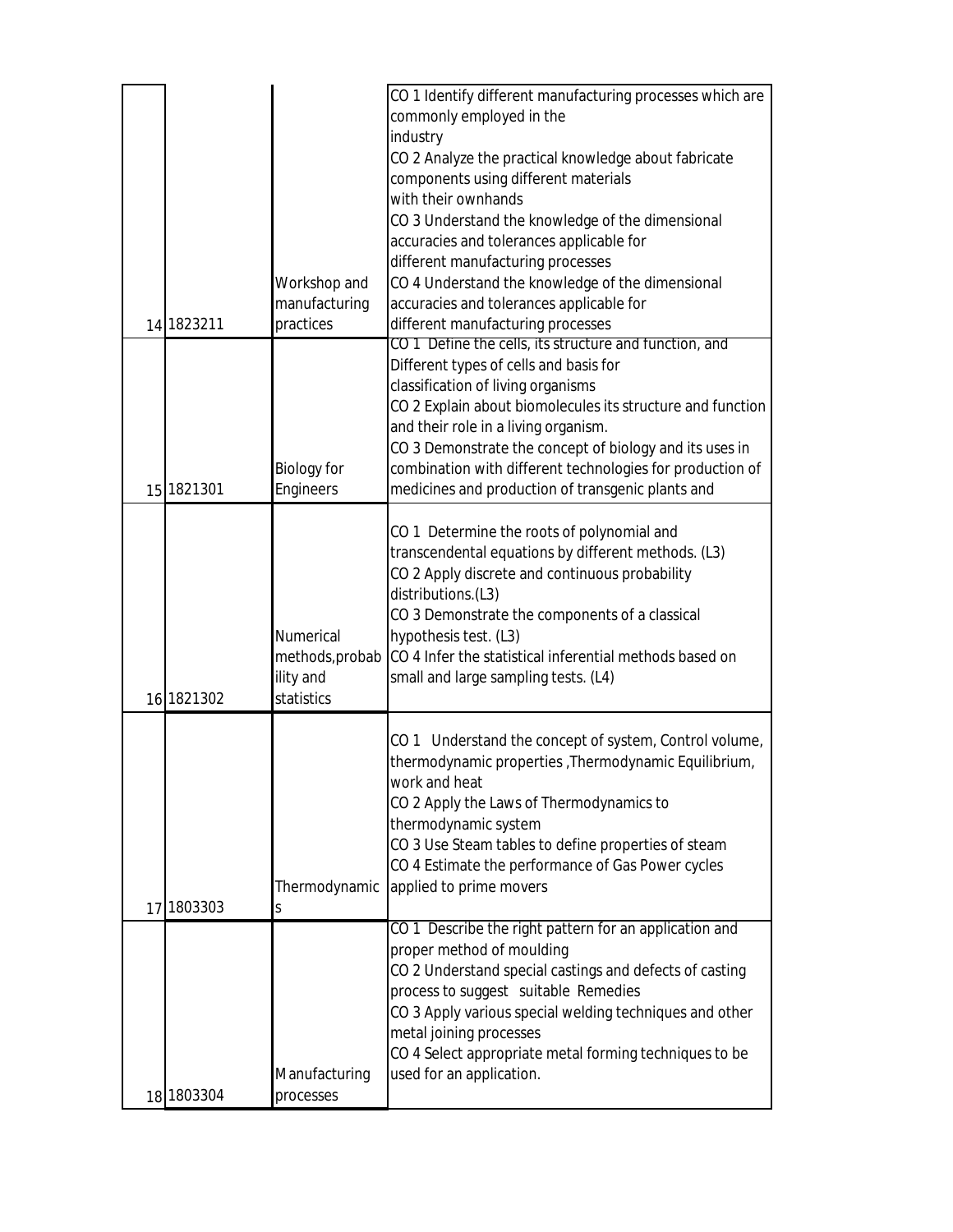| CO 1 Identify different manufacturing processes which are                       |  |
|---------------------------------------------------------------------------------|--|
| commonly employed in the                                                        |  |
| industry                                                                        |  |
| CO 2 Analyze the practical knowledge about fabricate                            |  |
| components using different materials                                            |  |
| with their ownhands                                                             |  |
| CO 3 Understand the knowledge of the dimensional                                |  |
| accuracies and tolerances applicable for                                        |  |
| different manufacturing processes                                               |  |
| CO 4 Understand the knowledge of the dimensional<br>Workshop and                |  |
| manufacturing<br>accuracies and tolerances applicable for                       |  |
| 14 1823211<br>practices<br>different manufacturing processes                    |  |
| CO 1 Define the cells, its structure and function, and                          |  |
| Different types of cells and basis for                                          |  |
| classification of living organisms                                              |  |
| CO 2 Explain about biomolecules its structure and function                      |  |
| and their role in a living organism.                                            |  |
| CO 3 Demonstrate the concept of biology and its uses in                         |  |
| combination with different technologies for production of<br><b>Biology for</b> |  |
| Engineers<br>medicines and production of transgenic plants and<br>15 1821301    |  |
|                                                                                 |  |
| CO 1 Determine the roots of polynomial and                                      |  |
| transcendental equations by different methods. (L3)                             |  |
| CO 2 Apply discrete and continuous probability                                  |  |
| distributions.(L3)                                                              |  |
| CO 3 Demonstrate the components of a classical                                  |  |
| Numerical<br>hypothesis test. (L3)                                              |  |
| methods, probab CO 4 Infer the statistical inferential methods based on         |  |
| ility and<br>small and large sampling tests. (L4)                               |  |
| 16 1821302<br>statistics                                                        |  |
|                                                                                 |  |
| CO 1 Understand the concept of system, Control volume,                          |  |
| thermodynamic properties, Thermodynamic Equilibrium,                            |  |
| work and heat                                                                   |  |
| CO 2 Apply the Laws of Thermodynamics to                                        |  |
| thermodynamic system                                                            |  |
| CO 3 Use Steam tables to define properties of steam                             |  |
| CO 4 Estimate the performance of Gas Power cycles                               |  |
| Thermodynamic<br>applied to prime movers                                        |  |
| 17 1803303<br>S                                                                 |  |
| CO 1 Describe the right pattern for an application and                          |  |
| proper method of moulding                                                       |  |
| CO 2 Understand special castings and defects of casting                         |  |
| process to suggest suitable Remedies                                            |  |
| CO 3 Apply various special welding techniques and other                         |  |
| metal joining processes                                                         |  |
| CO 4 Select appropriate metal forming techniques to be                          |  |
| used for an application.<br>Manufacturing                                       |  |
|                                                                                 |  |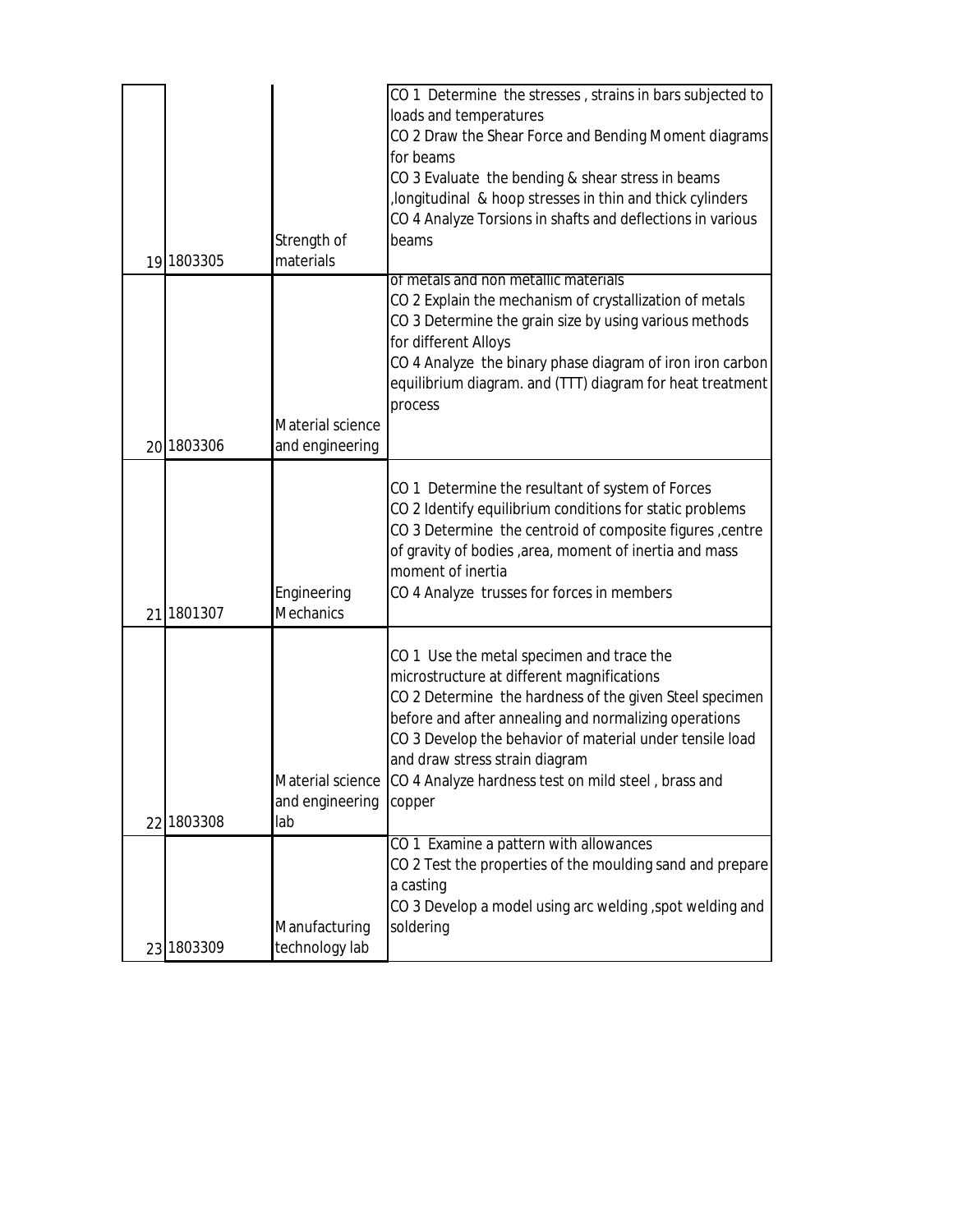|            |                  | CO 1 Determine the stresses, strains in bars subjected to                               |
|------------|------------------|-----------------------------------------------------------------------------------------|
|            |                  | loads and temperatures                                                                  |
|            |                  | CO 2 Draw the Shear Force and Bending Moment diagrams                                   |
|            |                  | for beams                                                                               |
|            |                  | CO 3 Evaluate the bending & shear stress in beams                                       |
|            |                  | longitudinal & hoop stresses in thin and thick cylinders                                |
|            |                  | CO 4 Analyze Torsions in shafts and deflections in various                              |
|            | Strength of      | beams                                                                                   |
| 19 1803305 | materials        |                                                                                         |
|            |                  | of metals and non metallic materials                                                    |
|            |                  | CO 2 Explain the mechanism of crystallization of metals                                 |
|            |                  | CO 3 Determine the grain size by using various methods                                  |
|            |                  | for different Alloys                                                                    |
|            |                  | CO 4 Analyze the binary phase diagram of iron iron carbon                               |
|            |                  | equilibrium diagram. and (TTT) diagram for heat treatment                               |
|            |                  | process                                                                                 |
|            | Material science |                                                                                         |
| 20 1803306 | and engineering  |                                                                                         |
|            |                  |                                                                                         |
|            |                  | CO 1 Determine the resultant of system of Forces                                        |
|            |                  | CO 2 Identify equilibrium conditions for static problems                                |
|            |                  | CO 3 Determine the centroid of composite figures, centre                                |
|            |                  | of gravity of bodies, area, moment of inertia and mass                                  |
|            |                  | moment of inertia                                                                       |
|            | Engineering      | CO 4 Analyze trusses for forces in members                                              |
| 21 1801307 | <b>Mechanics</b> |                                                                                         |
|            |                  |                                                                                         |
|            |                  | CO 1 Use the metal specimen and trace the<br>microstructure at different magnifications |
|            |                  |                                                                                         |
|            |                  | CO 2 Determine the hardness of the given Steel specimen                                 |
|            |                  | before and after annealing and normalizing operations                                   |
|            |                  | CO 3 Develop the behavior of material under tensile load                                |
|            |                  | and draw stress strain diagram                                                          |
|            |                  | Material science CO 4 Analyze hardness test on mild steel, brass and                    |
|            | and engineering  | copper                                                                                  |
| 22 1803308 | lab              | CO 1 Examine a pattern with allowances                                                  |
|            |                  |                                                                                         |
|            |                  | CO 2 Test the properties of the moulding sand and prepare<br>a casting                  |
|            |                  |                                                                                         |
|            |                  | CO 3 Develop a model using arc welding, spot welding and                                |
|            | Manufacturing    | soldering                                                                               |
| 23 1803309 | technology lab   |                                                                                         |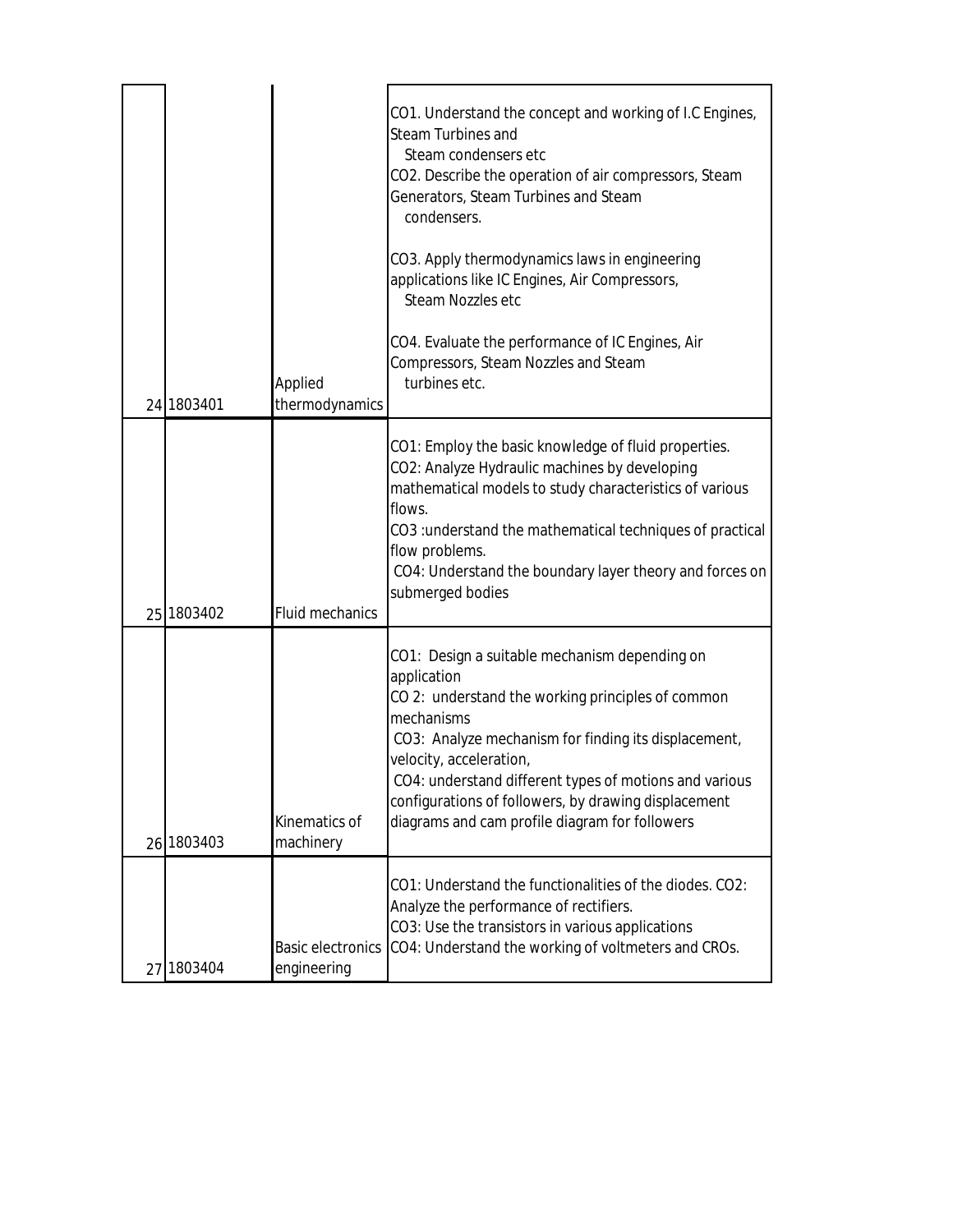|            |                                         | CO1. Understand the concept and working of I.C Engines,<br><b>Steam Turbines and</b><br>Steam condensers etc<br>CO2. Describe the operation of air compressors, Steam<br>Generators, Steam Turbines and Steam<br>condensers.<br>CO3. Apply thermodynamics laws in engineering<br>applications like IC Engines, Air Compressors,<br>Steam Nozzles etc                                   |
|------------|-----------------------------------------|----------------------------------------------------------------------------------------------------------------------------------------------------------------------------------------------------------------------------------------------------------------------------------------------------------------------------------------------------------------------------------------|
| 24 1803401 | Applied<br>thermodynamics               | CO4. Evaluate the performance of IC Engines, Air<br>Compressors, Steam Nozzles and Steam<br>turbines etc.                                                                                                                                                                                                                                                                              |
| 25 1803402 | <b>Fluid mechanics</b>                  | CO1: Employ the basic knowledge of fluid properties.<br>CO2: Analyze Hydraulic machines by developing<br>mathematical models to study characteristics of various<br>flows.<br>CO3: understand the mathematical techniques of practical<br>flow problems.<br>CO4: Understand the boundary layer theory and forces on<br>submerged bodies                                                |
| 26 1803403 | Kinematics of<br>machinery              | CO1: Design a suitable mechanism depending on<br>application<br>CO 2: understand the working principles of common<br>mechanisms<br>CO3: Analyze mechanism for finding its displacement,<br>velocity, acceleration,<br>CO4: understand different types of motions and various<br>configurations of followers, by drawing displacement<br>diagrams and cam profile diagram for followers |
| 27 1803404 | <b>Basic electronics</b><br>engineering | CO1: Understand the functionalities of the diodes. CO2:<br>Analyze the performance of rectifiers.<br>CO3: Use the transistors in various applications<br>CO4: Understand the working of voltmeters and CROs.                                                                                                                                                                           |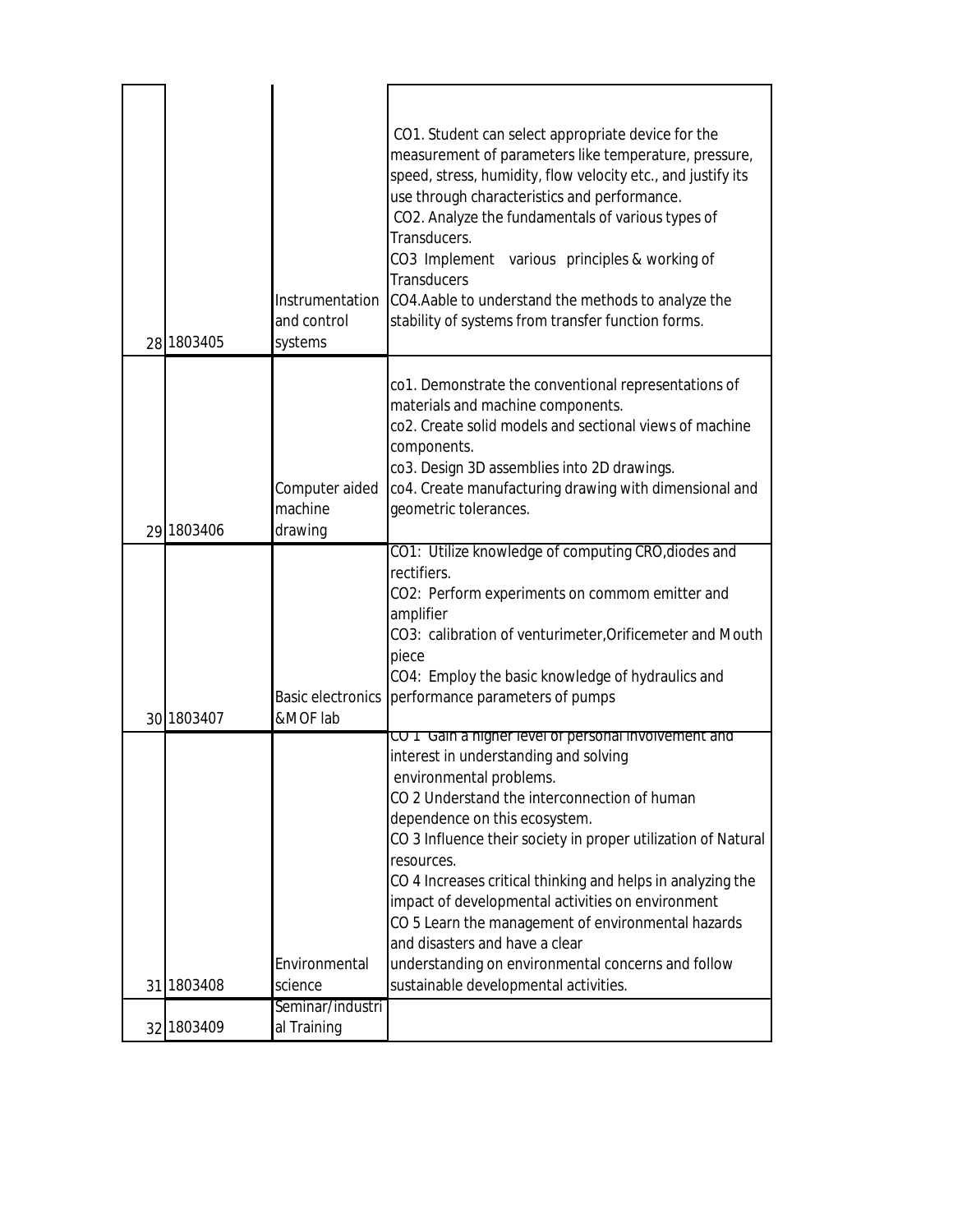| 28 1803405 | Instrumentation<br>and control<br>systems | CO1. Student can select appropriate device for the<br>measurement of parameters like temperature, pressure,<br>speed, stress, humidity, flow velocity etc., and justify its<br>use through characteristics and performance.<br>CO2. Analyze the fundamentals of various types of<br>Transducers.<br>CO3 Implement various principles & working of<br><b>Transducers</b><br>CO4.Aable to understand the methods to analyze the<br>stability of systems from transfer function forms.                                                                                                                 |
|------------|-------------------------------------------|-----------------------------------------------------------------------------------------------------------------------------------------------------------------------------------------------------------------------------------------------------------------------------------------------------------------------------------------------------------------------------------------------------------------------------------------------------------------------------------------------------------------------------------------------------------------------------------------------------|
| 29 1803406 | Computer aided<br>machine<br>drawing      | co1. Demonstrate the conventional representations of<br>materials and machine components.<br>co2. Create solid models and sectional views of machine<br>components.<br>co3. Design 3D assemblies into 2D drawings.<br>co4. Create manufacturing drawing with dimensional and<br>geometric tolerances.                                                                                                                                                                                                                                                                                               |
| 30 1803407 | <b>Basic electronics</b><br>&MOF lab      | CO1: Utilize knowledge of computing CRO, diodes and<br>rectifiers.<br>CO2: Perform experiments on commom emitter and<br>amplifier<br>CO3: calibration of venturimeter, Orificemeter and Mouth<br>piece<br>CO4: Employ the basic knowledge of hydraulics and<br>performance parameters of pumps                                                                                                                                                                                                                                                                                                      |
| 31 1803408 | Environmental<br>science                  | CO T Gain a higher level of personal involvement and<br>interest in understanding and solving<br>environmental problems.<br>CO 2 Understand the interconnection of human<br>dependence on this ecosystem.<br>CO 3 Influence their society in proper utilization of Natural<br>resources.<br>CO 4 Increases critical thinking and helps in analyzing the<br>impact of developmental activities on environment<br>CO 5 Learn the management of environmental hazards<br>and disasters and have a clear<br>understanding on environmental concerns and follow<br>sustainable developmental activities. |
| 32 1803409 | Seminar/industri<br>al Training           |                                                                                                                                                                                                                                                                                                                                                                                                                                                                                                                                                                                                     |
|            |                                           |                                                                                                                                                                                                                                                                                                                                                                                                                                                                                                                                                                                                     |